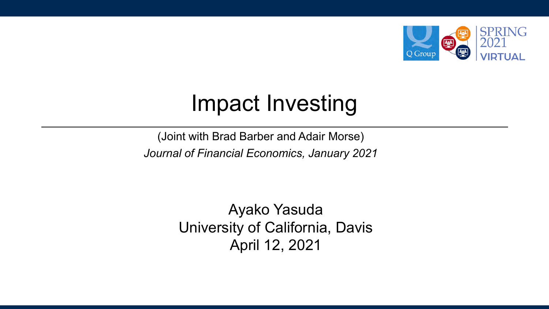

### Impact Investing

(Joint with Brad Barber and Adair Morse) *Journal of Financial Economics, January 2021*

> Ayako Yasuda University of California, Davis April 12, 2021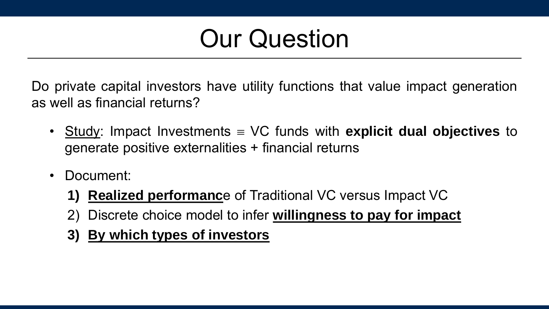## Our Question

Do private capital investors have utility functions that value impact generation as well as financial returns?

- Study: Impact Investments VC funds with **explicit dual objectives** to generate positive externalities + financial returns
- Document:
	- **1) Realized performanc**e of Traditional VC versus Impact VC
	- 2) Discrete choice model to infer **willingness to pay for impact**
	- **3) By which types of investors**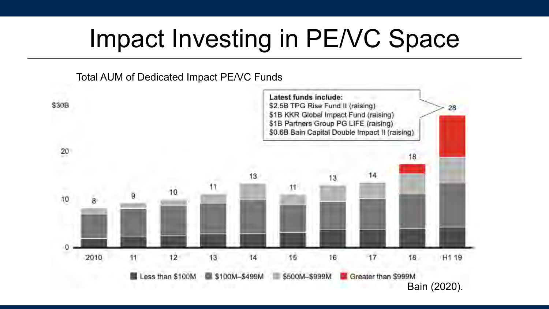## Impact Investing in PE/VC Space

#### Total AUM of Dedicated Impact PE/VC Funds

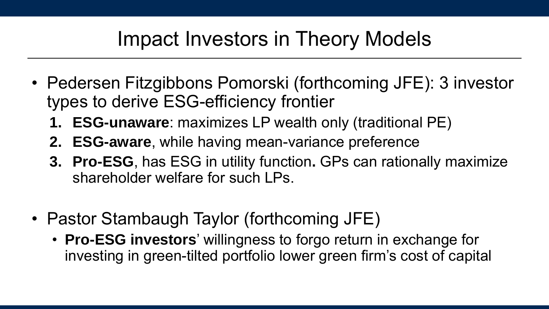### Impact Investors in Theory Models

- Pedersen Fitzgibbons Pomorski (forthcoming JFE): 3 investor types to derive ESG-efficiency frontier
	- **1. ESG-unaware**: maximizes LP wealth only (traditional PE)
	- **2. ESG-aware**, while having mean-variance preference
	- **3. Pro-ESG**, has ESG in utility function**.** GPs can rationally maximize shareholder welfare for such LPs.
- Pastor Stambaugh Taylor (forthcoming JFE)
	- **Pro-ESG investors**' willingness to forgo return in exchange for investing in green-tilted portfolio lower green firm's cost of capital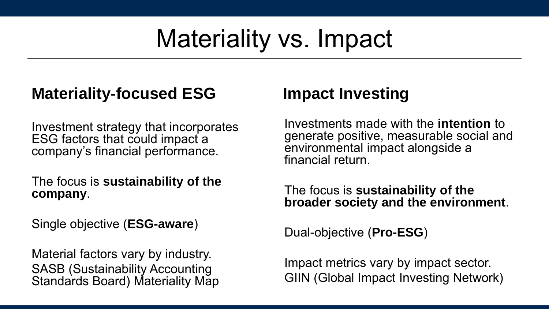# Materiality vs. Impact

### **Materiality-focused ESG**

Investment strategy that incorporates ESG factors that could impact a company's financial performance.

The focus is **sustainability of the company**.

Single objective (**ESG-aware**)

Material factors vary by industry. SASB (Sustainability Accounting Standards Board) Materiality Map

#### **Impact Investing**

Investments made with the **intention** to generate positive, measurable social and environmental impact alongside a financial return.

The focus is **sustainability of the broader society and the environment**.

Dual-objective (**Pro-ESG**)

Impact metrics vary by impact sector. GIIN (Global Impact Investing Network)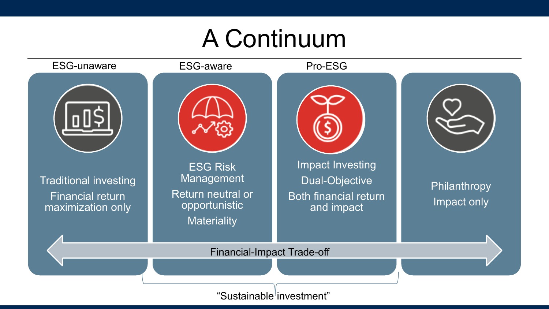### A Continuum



"Sustainable investment"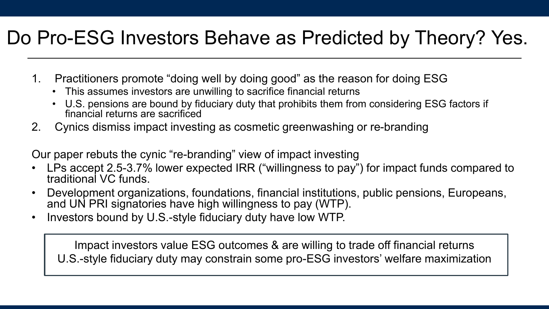### Do Pro-ESG Investors Behave as Predicted by Theory? Yes.

- 1. Practitioners promote "doing well by doing good" as the reason for doing ESG
	- This assumes investors are unwilling to sacrifice financial returns
	- U.S. pensions are bound by fiduciary duty that prohibits them from considering ESG factors if financial returns are sacrificed
- 2. Cynics dismiss impact investing as cosmetic greenwashing or re-branding

Our paper rebuts the cynic "re-branding" view of impact investing

- LPs accept 2.5-3.7% lower expected IRR ("willingness to pay") for impact funds compared to traditional VC funds.
- Development organizations, foundations, financial institutions, public pensions, Europeans, and UN PRI signatories have high willingness to pay (WTP).
- Investors bound by U.S.-style fiduciary duty have low WTP.

Impact investors value ESG outcomes & are willing to trade off financial returns U.S.-style fiduciary duty may constrain some pro-ESG investors' welfare maximization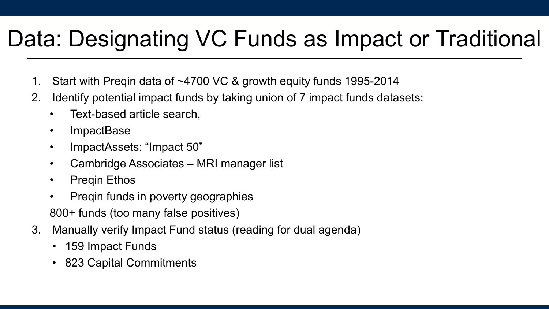### Data: Designating VC Funds as Impact or Traditional

- 1. Start with Preqin data of ~4700 VC & growth equity funds 1995-2014
- 2. Identify potential impact funds by taking union of 7 impact funds datasets:
	- Text-based article search,
	- ImpactBase
	- ImpactAssets: "Impact 50"
	- Cambridge Associates MRI manager list
	- Preqin Ethos
	- Preqin funds in poverty geographies 800+ funds (too many false positives)
- 3. Manually verify Impact Fund status (reading for dual agenda)
	- 159 Impact Funds
	- 823 Capital Commitments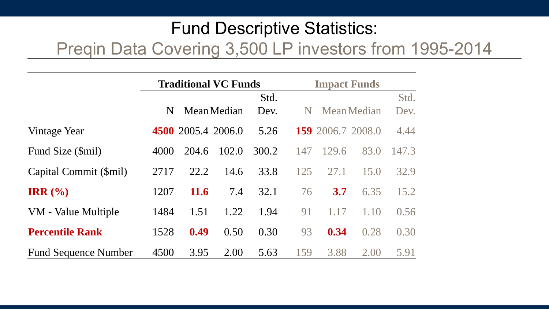### Fund Descriptive Statistics:

#### Preqin Data Covering 3,500 LP investors from 1995-2014

|                             | <b>Traditional VC Funds</b> |             |                    |       | <b>Impact Funds</b> |       |                          |       |
|-----------------------------|-----------------------------|-------------|--------------------|-------|---------------------|-------|--------------------------|-------|
|                             |                             |             |                    | Std.  |                     |       |                          | Std.  |
|                             | N                           |             | Mean Median        | Dev.  | N                   |       | Mean Median              | Dev.  |
| Vintage Year                |                             |             | 4500 2005.4 2006.0 | 5.26  |                     |       | <b>159</b> 2006.7 2008.0 | 4.44  |
| Fund Size (\$mil)           | 4000                        | 204.6       | 102.0              | 300.2 | 147                 | 129.6 | 83.0                     | 147.3 |
| Capital Commit (\$mil)      | 2717                        | 22.2        | 14.6               | 33.8  | 125                 | 27.1  | 15.0                     | 32.9  |
| IRR $(\% )$                 | 1207                        | <b>11.6</b> | 7.4                | 32.1  | 76                  | 3.7   | 6.35                     | 15.2  |
| VM - Value Multiple         | 1484                        | 1.51        | 1.22               | 1.94  | 91                  | 1.17  | 1.10                     | 0.56  |
| <b>Percentile Rank</b>      | 1528                        | 0.49        | 0.50               | 0.30  | 93                  | 0.34  | 0.28                     | 0.30  |
| <b>Fund Sequence Number</b> | 4500                        | 3.95        | 2.00               | 5.63  | 159                 | 3.88  | 2.00                     | 5.91  |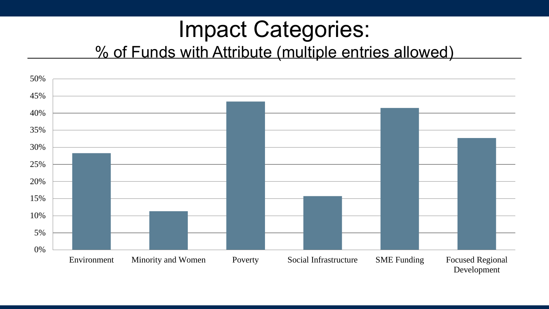### Impact Categories: % of Funds with Attribute (multiple entries allowed)

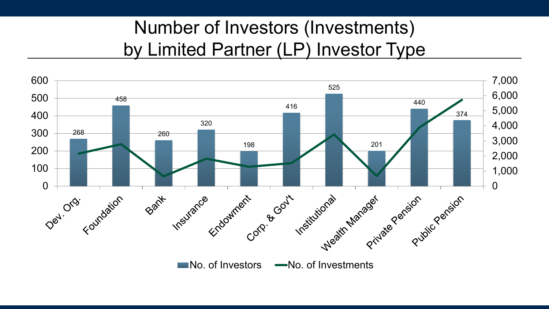### Number of Investors (Investments) by Limited Partner (LP) Investor Type

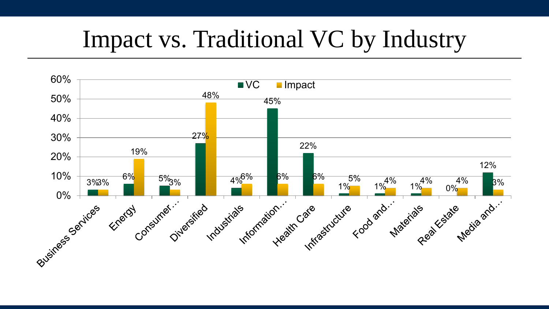### Impact vs. Traditional VC by Industry

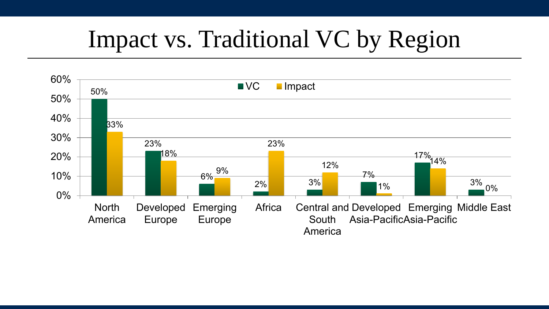## Impact vs. Traditional VC by Region

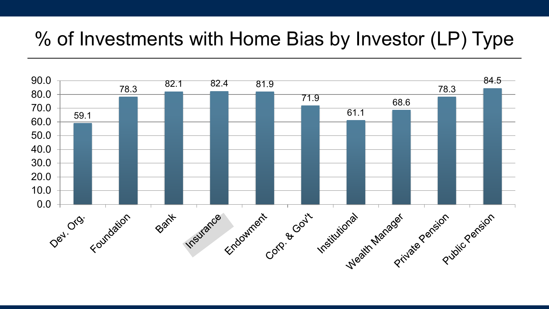### % of Investments with Home Bias by Investor (LP) Type

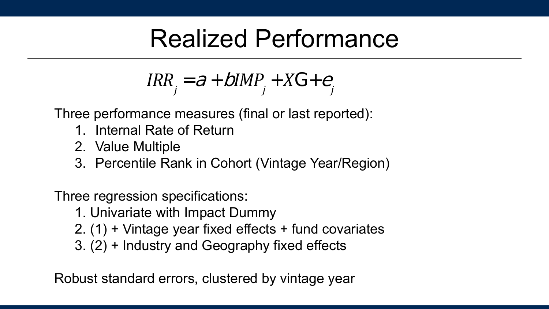### Realized Performance

$$
IRR_j = a + bIMP_j + XG + e_j
$$

Three performance measures (final or last reported):

- 1. Internal Rate of Return
- 2. Value Multiple
- 3. Percentile Rank in Cohort (Vintage Year/Region)

Three regression specifications:

- 1. Univariate with Impact Dummy
- 2. (1) + Vintage year fixed effects + fund covariates
- 3. (2) + Industry and Geography fixed effects

Robust standard errors, clustered by vintage year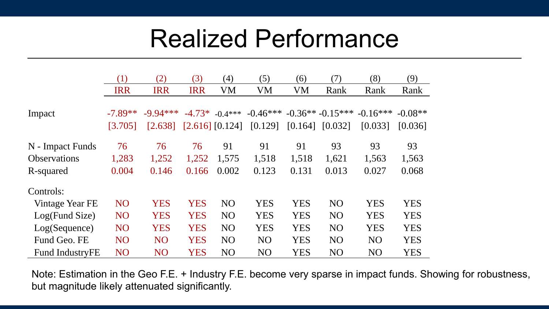### Realized Performance

|                        | (1)             | (2)             | (3)        | (4)                 | (5)            | (6)        | (7)               | (8)             | (9)        |
|------------------------|-----------------|-----------------|------------|---------------------|----------------|------------|-------------------|-----------------|------------|
|                        | <b>IRR</b>      | <b>IRR</b>      | <b>IRR</b> | VM                  | VM             | VM         | Rank              | Rank            | Rank       |
|                        |                 |                 |            |                     |                |            |                   |                 |            |
| Impact                 | $-7.89**$       | $-9.94***$      | $-4.73*$   | $-0.4***$           | $-0.46***$     |            | $-0.36**-0.15***$ | $-0.16***$      | $-0.08**$  |
|                        | [3.705]         | [2.638]         |            | $[2.616]$ $[0.124]$ | [0.129]        | [0.164]    | [0.032]           | [0.033]         | [0.036]    |
| N - Impact Funds       | 76              | 76              | 76         | 91                  | 91             | 91         | 93                | 93              | 93         |
| <b>Observations</b>    | 1,283           | 1,252           | 1,252      | 1,575               | 1,518          | 1,518      | 1,621             | 1,563           | 1,563      |
| R-squared              | 0.004           | 0.146           | 0.166      | 0.002               | 0.123          | 0.131      | 0.013             | 0.027           | 0.068      |
| Controls:              |                 |                 |            |                     |                |            |                   |                 |            |
| Vintage Year FE        | NO <sub>1</sub> | <b>YES</b>      | <b>YES</b> | N <sub>O</sub>      | <b>YES</b>     | <b>YES</b> | N <sub>O</sub>    | <b>YES</b>      | <b>YES</b> |
| Log(Fund Size)         | NO <sub>1</sub> | <b>YES</b>      | <b>YES</b> | N <sub>O</sub>      | <b>YES</b>     | <b>YES</b> | N <sub>O</sub>    | <b>YES</b>      | <b>YES</b> |
| Log(Sequence)          | NO <sub>1</sub> | <b>YES</b>      | <b>YES</b> | NO <sub>1</sub>     | <b>YES</b>     | <b>YES</b> | NO <sub>1</sub>   | <b>YES</b>      | <b>YES</b> |
| Fund Geo. FE           | NO <sub>1</sub> | <b>NO</b>       | <b>YES</b> | N <sub>O</sub>      | N <sub>O</sub> | <b>YES</b> | N <sub>O</sub>    | N <sub>O</sub>  | <b>YES</b> |
| <b>Fund IndustryFE</b> | NO <sub>1</sub> | NO <sub>1</sub> | <b>YES</b> | N <sub>O</sub>      | NO <sub></sub> | <b>YES</b> | NO <sub>1</sub>   | NO <sub>1</sub> | <b>YES</b> |

Note: Estimation in the Geo F.E. + Industry F.E. become very sparse in impact funds. Showing for robustness, but magnitude likely attenuated significantly.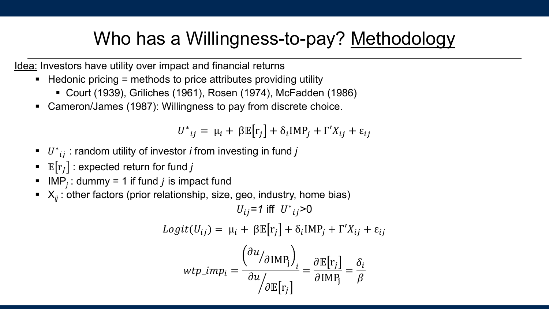### Who has a Willingness-to-pay? Methodology

Idea: Investors have utility over impact and financial returns

- Hedonic pricing = methods to price attributes providing utility
	- Court (1939), Griliches (1961), Rosen (1974), McFadden (1986)
- Cameron/James (1987): Willingness to pay from discrete choice.

 $U^*_{ij} = \mu_i + \beta \mathbb{E} [r_j] + \delta_i \text{IMP}_j + \Gamma' X_{ij} + \varepsilon_{ij}$ 

- $U^*_{ij}$ : random utility of investor *i* from investing in fund *j*
- $\textbf{E}\big[\text{r}_J\big]$  : expected return for fund  $j$
- $\blacksquare$  IMP<sub>j</sub>: dummy = 1 if fund *j* is impact fund
- $\blacktriangleright$   $X_{ij}$ : other factors (prior relationship, size, geo, industry, home bias)

 $U_{ij} = 1$  iff  $U^*_{ij} > 0$  $Logit(U_{ij}) = \mu_i + \beta \mathbb{E}[r_j] + \delta_i \text{IMP}_j + \Gamma' X_{ij} + \varepsilon_{ij}$  $wtp\_imp_i =$  $\overline{\phantom{a}}$  $\partial u$  $\partial$ IMP<sub>j</sub> $\int_i$  $\frac{1}{2}$  $\partial u$  $\partial\mathbb{E}\big[{\rm r}_j$ =  $\partial\mathbb{E}\big[{\rm r}_j$  $\partial$ IMP<sub>j</sub> =  $\delta_i$  $\beta$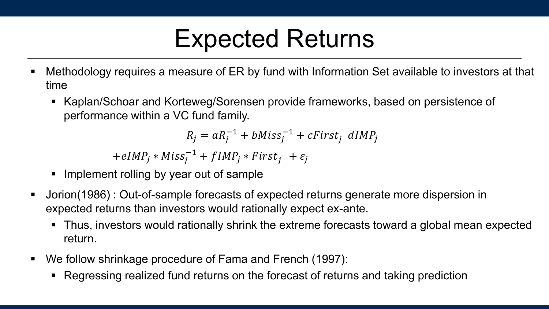### Expected Returns

- Methodology requires a measure of ER by fund with Information Set available to investors at that time
	- Kaplan/Schoar and Korteweg/Sorensen provide frameworks, based on persistence of performance within a VC fund family.

 $R_j = a R_j^{-1} + bMiss_j^{-1} + cFirst_j$  dIMP<sub>j</sub>

 $+eIMP_j * Miss_j^{-1} + fIMP_j * First_j + \varepsilon_j$ 

- Implement rolling by year out of sample
- Jorion(1986) : Out-of-sample forecasts of expected returns generate more dispersion in expected returns than investors would rationally expect ex-ante.
	- Thus, investors would rationally shrink the extreme forecasts toward a global mean expected return.
- We follow shrinkage procedure of Fama and French (1997):
	- Regressing realized fund returns on the forecast of returns and taking prediction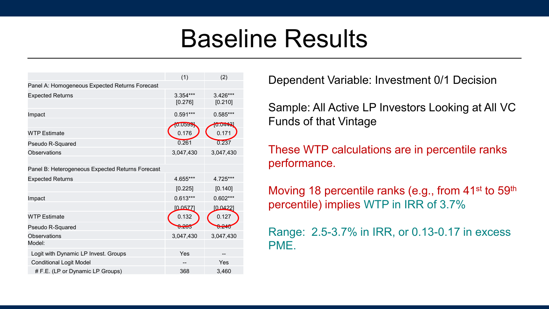### Baseline Results

|                                                  | (1)        | (2)        |
|--------------------------------------------------|------------|------------|
| Panel A: Homogeneous Expected Returns Forecast   |            |            |
| <b>Expected Returns</b>                          | 3.354***   | 3.426***   |
|                                                  | [0.276]    | [0.210]    |
| Impact                                           | $0.591***$ | $0.585***$ |
|                                                  | 10.0599    | [0.0443]   |
| <b>WTP Estimate</b>                              | 0.176      | 0.171      |
| Pseudo R-Squared                                 | 0.261      | 0.237      |
| <b>Observations</b>                              | 3,047,430  | 3,047,430  |
|                                                  |            |            |
| Panel B: Heterogeneous Expected Returns Forecast |            |            |
| <b>Expected Returns</b>                          | 4.655***   | 4.725***   |
|                                                  | [0.225]    | [0.140]    |
| Impact                                           | $0.613***$ | $0.602***$ |
|                                                  | [0.0577]   | [0.0422]   |
| <b>WTP Estimate</b>                              | 0.132      | 0.127      |
| Pseudo R-Squared                                 | $U - U$    | $0.2 - 10$ |
| <b>Observations</b>                              | 3,047,430  | 3,047,430  |
| Model:                                           |            |            |
| Logit with Dynamic LP Invest. Groups             | Yes        |            |
| <b>Conditional Logit Model</b>                   |            | Yes        |
| # F.E. (LP or Dynamic LP Groups)                 | 368        | 3,460      |

Dependent Variable: Investment 0/1 Decision

Sample: All Active LP Investors Looking at All VC Funds of that Vintage

These WTP calculations are in percentile ranks performance.

Moving 18 percentile ranks (e.g., from 41<sup>st</sup> to 59<sup>th</sup> percentile) implies WTP in IRR of 3.7%

Range: 2.5-3.7% in IRR, or 0.13-0.17 in excess PME.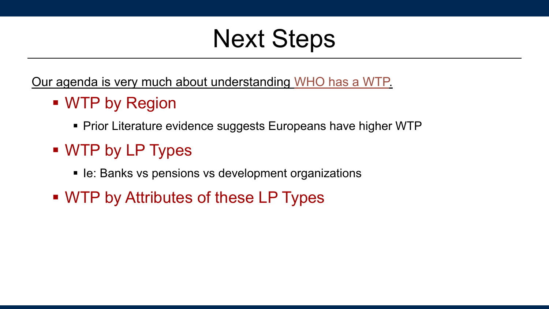### Next Steps

Our agenda is very much about understanding WHO has a WTP.

- WTP by Region
	- Prior Literature evidence suggests Europeans have higher WTP
- WTP by LP Types
	- Ie: Banks vs pensions vs development organizations
- WTP by Attributes of these LP Types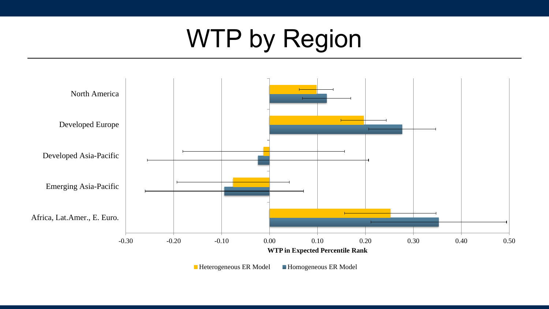# WTP by Region



■ Heterogeneous ER Model ■ Homogeneous ER Model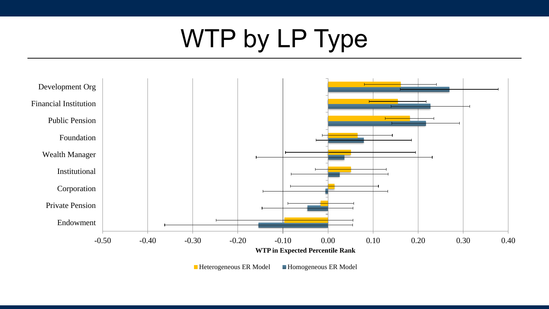# WTP by LP Type



■ Heterogeneous ER Model ■ Homogeneous ER Model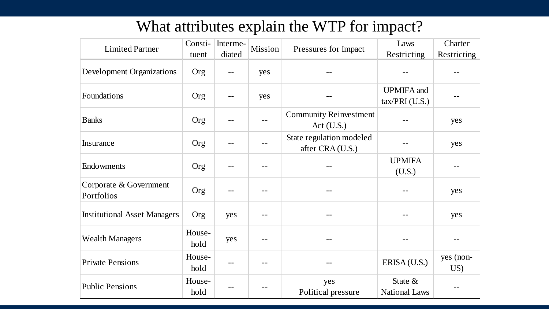#### What attributes explain the WTP for impact?

| <b>Limited Partner</b>               | Consti-        | Interme- | Mission | Pressures for Impact                          | Laws                                  | Charter          |
|--------------------------------------|----------------|----------|---------|-----------------------------------------------|---------------------------------------|------------------|
|                                      | tuent          | diated   |         |                                               | Restricting                           | Restricting      |
| Development Organizations            | Org            |          | yes     |                                               |                                       |                  |
| Foundations                          | Org            | --       | yes     |                                               | <b>UPMIFA</b> and<br>$tax/PRI$ (U.S.) |                  |
| <b>Banks</b>                         | Org            |          | $- -$   | <b>Community Reinvestment</b><br>Act $(U.S.)$ |                                       | yes              |
| Insurance                            | Org            |          | --      | State regulation modeled<br>after CRA (U.S.)  |                                       | yes              |
| Endowments                           | Org            |          |         |                                               | <b>UPMIFA</b><br>(U.S.)               |                  |
| Corporate & Government<br>Portfolios | Org            |          | --      |                                               |                                       | yes              |
| <b>Institutional Asset Managers</b>  | Org            | yes      |         |                                               |                                       | yes              |
| <b>Wealth Managers</b>               | House-<br>hold | yes      | --      |                                               |                                       |                  |
| <b>Private Pensions</b>              | House-<br>hold |          |         |                                               | ERISA (U.S.)                          | yes (non-<br>US) |
| <b>Public Pensions</b>               | House-<br>hold |          | --      | yes<br>Political pressure                     | State &<br><b>National Laws</b>       |                  |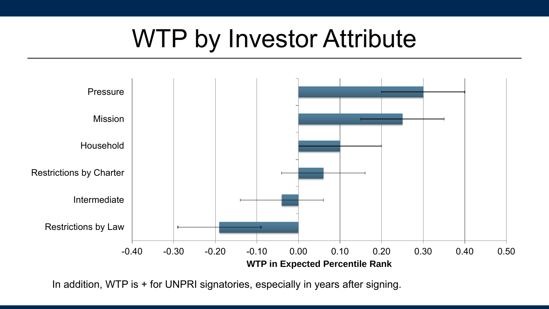## WTP by Investor Attribute



In addition, WTP is + for UNPRI signatories, especially in years after signing.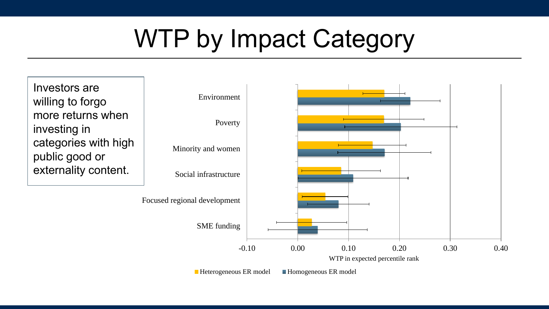## WTP by Impact Category

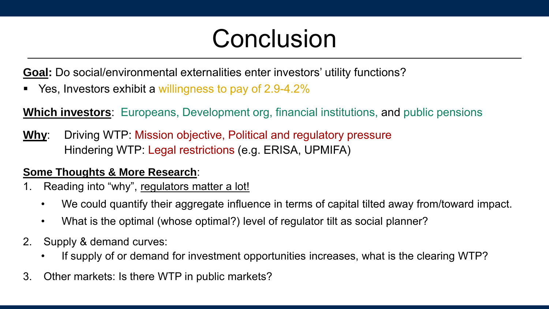## Conclusion

**Goal:** Do social/environmental externalities enter investors' utility functions?

Yes, Investors exhibit a willingness to pay of 2.9-4.2%

**Which investors**: Europeans, Development org, financial institutions, and public pensions

**Why**: Driving WTP: Mission objective, Political and regulatory pressure Hindering WTP: Legal restrictions (e.g. ERISA, UPMIFA)

#### **Some Thoughts & More Research**:

- 1. Reading into "why", regulators matter a lot!
	- We could quantify their aggregate influence in terms of capital tilted away from/toward impact.
	- What is the optimal (whose optimal?) level of regulator tilt as social planner?
- 2. Supply & demand curves:
	- If supply of or demand for investment opportunities increases, what is the clearing WTP?
- 3. Other markets: Is there WTP in public markets?